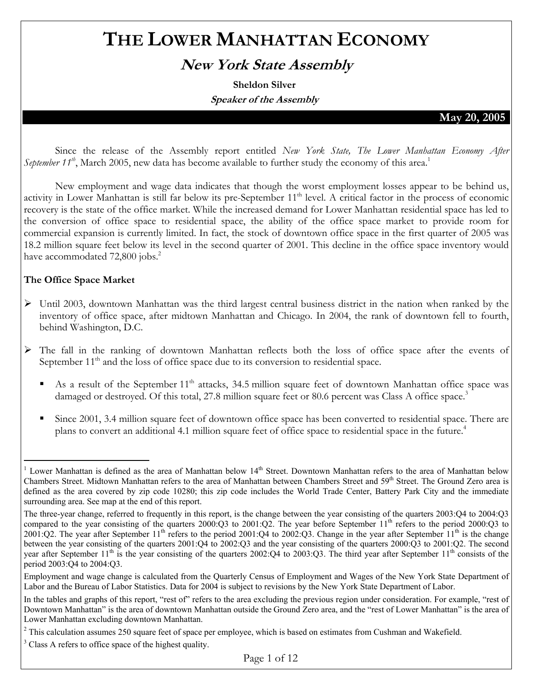# **THE LOWER MANHATTAN ECONOMY**

# **New York State Assembly**

**Sheldon Silver Speaker of the Assembly** 

#### **May 20, 2005**

Since the release of the Assembly report entitled *New York State, The Lower Manhattan Economy After September 11<sup>th</sup>*, March 2005, new data has become available to further study the economy of this area.<sup>1</sup>

 New employment and wage data indicates that though the worst employment losses appear to be behind us, activity in Lower Manhattan is still far below its pre-September 11<sup>th</sup> level. A critical factor in the process of economic recovery is the state of the office market. While the increased demand for Lower Manhattan residential space has led to the conversion of office space to residential space, the ability of the office space market to provide room for commercial expansion is currently limited. In fact, the stock of downtown office space in the first quarter of 2005 was 18.2 million square feet below its level in the second quarter of 2001. This decline in the office space inventory would have accommodated 72,800 jobs.<sup>2</sup>

#### **The Office Space Market**

- ¾ Until 2003, downtown Manhattan was the third largest central business district in the nation when ranked by the inventory of office space, after midtown Manhattan and Chicago. In 2004, the rank of downtown fell to fourth, behind Washington, D.C.
- ¾ The fall in the ranking of downtown Manhattan reflects both the loss of office space after the events of September 11<sup>th</sup> and the loss of office space due to its conversion to residential space.
	- As a result of the September 11<sup>th</sup> attacks, 34.5 million square feet of downtown Manhattan office space was damaged or destroyed. Of this total, 27.8 million square feet or 80.6 percent was Class A office space.<sup>3</sup>
	- Since 2001, 3.4 million square feet of downtown office space has been converted to residential space. There are plans to convert an additional 4.1 million square feet of office space to residential space in the future.<sup>4</sup>

 $\overline{a}$ <sup>1</sup> Lower Manhattan is defined as the area of Manhattan below  $14<sup>th</sup>$  Street. Downtown Manhattan refers to the area of Manhattan below Chambers Street. Midtown Manhattan refers to the area of Manhattan between Chambers Street and 59<sup>th</sup> Street. The Ground Zero area is defined as the area covered by zip code 10280; this zip code includes the World Trade Center, Battery Park City and the immediate surrounding area. See map at the end of this report.

The three-year change, referred to frequently in this report, is the change between the year consisting of the quarters 2003:Q4 to 2004:Q3 compared to the year consisting of the quarters 2000:Q3 to 2001:Q2. The year before September 11<sup>th</sup> refers to the period 2000:Q3 to 2001:Q2. The year after September 11<sup>th</sup> refers to the period 2001:Q4 to 2002:Q3. Change in the year after September 11<sup>th</sup> is the change between the year consisting of the quarters 2001:Q4 to 2002:Q3 and the year consisting of the quarters 2000:Q3 to 2001:Q2. The second year after September  $11<sup>th</sup>$  is the year consisting of the quarters 2002:Q4 to 2003:Q3. The third year after September  $11<sup>th</sup>$  consists of the period 2003:Q4 to 2004:Q3.

Employment and wage change is calculated from the Quarterly Census of Employment and Wages of the New York State Department of Labor and the Bureau of Labor Statistics. Data for 2004 is subject to revisions by the New York State Department of Labor.

In the tables and graphs of this report, "rest of" refers to the area excluding the previous region under consideration. For example, "rest of Downtown Manhattan" is the area of downtown Manhattan outside the Ground Zero area, and the "rest of Lower Manhattan" is the area of Lower Manhattan excluding downtown Manhattan.

 $2^2$  This calculation assumes 250 square feet of space per employee, which is based on estimates from Cushman and Wakefield.

<sup>&</sup>lt;sup>3</sup> Class A refers to office space of the highest quality.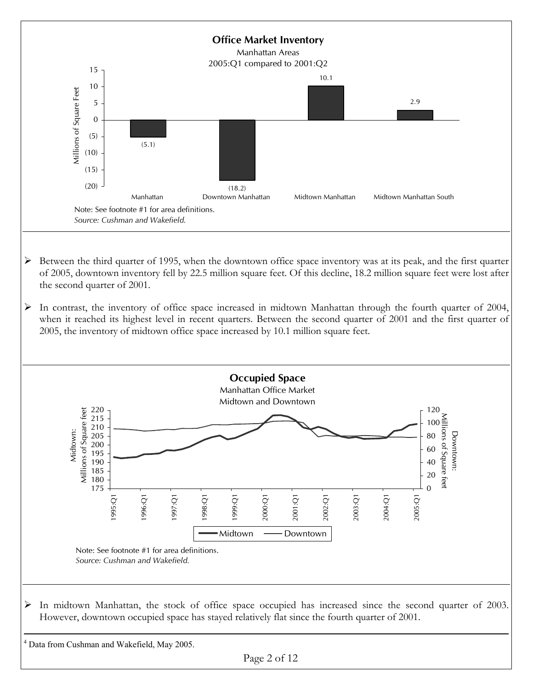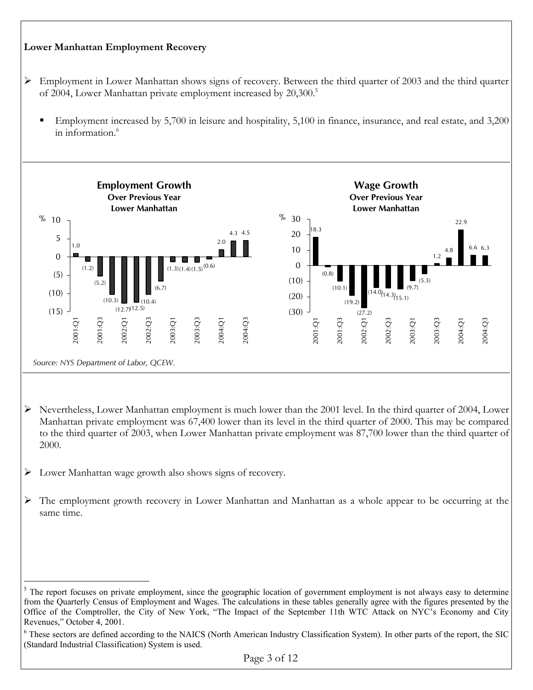#### **Lower Manhattan Employment Recovery**  ¾ Employment in Lower Manhattan shows signs of recovery. Between the third quarter of 2003 and the third quarter of 2004, Lower Manhattan private employment increased by 20,300.<sup>5</sup> Employment increased by 5,700 in leisure and hospitality, 5,100 in finance, insurance, and real estate, and 3,200 in information.6 **Employment Growth Over Previous Year Lower Manhattan** 1.0 (1.2) (5.2)  $(10.4)$ (6.7)  $(1.3)(1.4)(1.5)^{(0.6)}$ 2.0 4.3 4.5  $(12.7)(12.5)$ (10.3)  $(15)$ (10) (5) 0 5 10 2001:Q1 2001:Q3 2002:Q1 2002:Q3 2003:Q1 2003:Q3 2004:Q1 2004:Q3  $\%$ **Wage Growth Over Previous Year Lower Manhattan** 18.3 (0.8)  $(10.1)$  $(19.2)$ (14.3) (9.7) (5.3) 1.2 4.8  $22.9$ 6.6 6.3  $(14.0)$ <sub>14.3</sub> $(15.1)$  $(30)$  (27.2) (20) (10) 0 10 20 30 2001:Q1 2001:Q3 2002:Q1 2002:Q3 2003:Q1 2003:Q3 2004:Q1 2004:Q3  $\%$

- ¾ Nevertheless, Lower Manhattan employment is much lower than the 2001 level. In the third quarter of 2004, Lower Manhattan private employment was 67,400 lower than its level in the third quarter of 2000. This may be compared to the third quarter of 2003, when Lower Manhattan private employment was 87,700 lower than the third quarter of 2000.
- $\triangleright$  Lower Manhattan wage growth also shows signs of recovery.

*Source: NYS Department of Labor, QCEW.*

¾ The employment growth recovery in Lower Manhattan and Manhattan as a whole appear to be occurring at the same time.

 $\overline{a}$  $5$  The report focuses on private employment, since the geographic location of government employment is not always easy to determine from the Quarterly Census of Employment and Wages. The calculations in these tables generally agree with the figures presented by the Office of the Comptroller, the City of New York, "The Impact of the September 11th WTC Attack on NYC's Economy and City Revenues," October 4, 2001.

<sup>&</sup>lt;sup>6</sup> These sectors are defined according to the NAICS (North American Industry Classification System). In other parts of the report, the SIC (Standard Industrial Classification) System is used.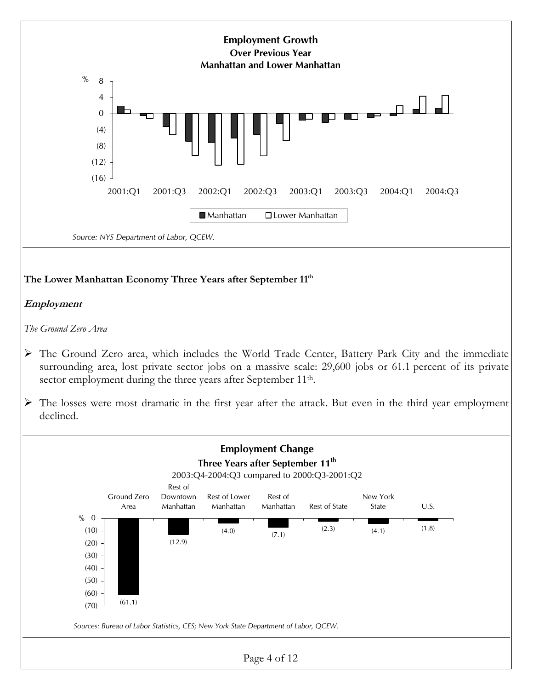

Page 4 of 12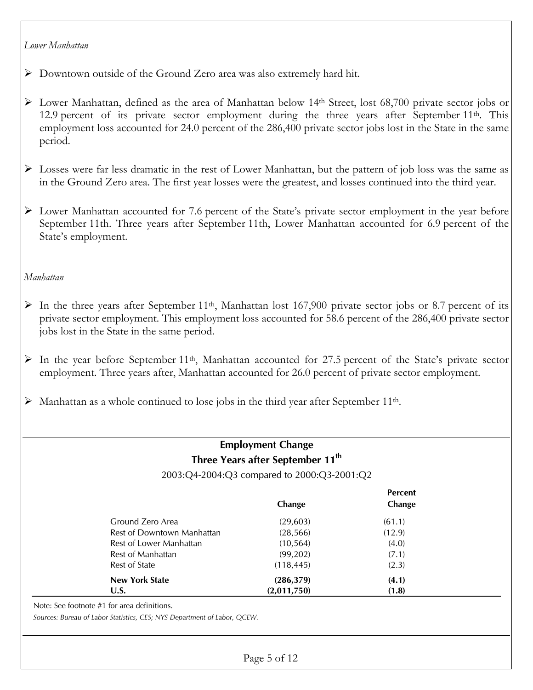#### *Lower Manhattan*

¾ Downtown outside of the Ground Zero area was also extremely hard hit.

- ¾ Lower Manhattan, defined as the area of Manhattan below 14th Street, lost 68,700 private sector jobs or 12.9 percent of its private sector employment during the three years after September 11<sup>th</sup>. This employment loss accounted for 24.0 percent of the 286,400 private sector jobs lost in the State in the same period.
- ¾ Losses were far less dramatic in the rest of Lower Manhattan, but the pattern of job loss was the same as in the Ground Zero area. The first year losses were the greatest, and losses continued into the third year.
- ¾ Lower Manhattan accounted for 7.6 percent of the State's private sector employment in the year before September 11th. Three years after September 11th, Lower Manhattan accounted for 6.9 percent of the State's employment.

### *Manhattan*

- $\triangleright$  In the three years after September 11<sup>th</sup>, Manhattan lost 167,900 private sector jobs or 8.7 percent of its private sector employment. This employment loss accounted for 58.6 percent of the 286,400 private sector jobs lost in the State in the same period.
- $\triangleright$  In the year before September 11<sup>th</sup>, Manhattan accounted for 27.5 percent of the State's private sector employment. Three years after, Manhattan accounted for 26.0 percent of private sector employment.
- $\triangleright$  Manhattan as a whole continued to lose jobs in the third year after September 11<sup>th</sup>.

# **Employment Change Three Years after September 11th**

2003:Q4-2004:Q3 compared to 2000:Q3-2001:Q2

|                            | Change      | <b>Percent</b><br>Change |
|----------------------------|-------------|--------------------------|
| Ground Zero Area           | (29,603)    | (61.1)                   |
| Rest of Downtown Manhattan | (28, 566)   | (12.9)                   |
| Rest of Lower Manhattan    | (10, 564)   | (4.0)                    |
| Rest of Manhattan          | (99, 202)   | (7.1)                    |
| <b>Rest of State</b>       | (118, 445)  | (2.3)                    |
| <b>New York State</b>      | (286, 379)  | (4.1)                    |
| U.S.                       | (2,011,750) | (1.8)                    |

Note: See footnote #1 for area definitions.

*Sources: Bureau of Labor Statistics, CES; NYS Department of Labor, QCEW.*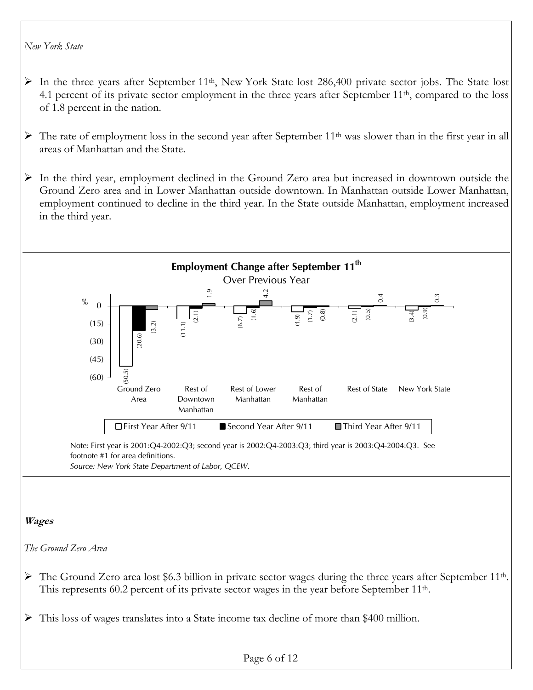#### *New York State*

- $\triangleright$  In the three years after September 11<sup>th</sup>, New York State lost 286,400 private sector jobs. The State lost 4.1 percent of its private sector employment in the three years after September 11<sup>th</sup>, compared to the loss of 1.8 percent in the nation.
- $\triangleright$  The rate of employment loss in the second year after September 11<sup>th</sup> was slower than in the first year in all areas of Manhattan and the State.
- ¾ In the third year, employment declined in the Ground Zero area but increased in downtown outside the Ground Zero area and in Lower Manhattan outside downtown. In Manhattan outside Lower Manhattan, employment continued to decline in the third year. In the State outside Manhattan, employment increased in the third year.



# **Wages**

*The Ground Zero Area* 

- $\triangleright$  The Ground Zero area lost \$6.3 billion in private sector wages during the three years after September 11<sup>th</sup>. This represents 60.2 percent of its private sector wages in the year before September 11<sup>th</sup>.
- ¾ This loss of wages translates into a State income tax decline of more than \$400 million.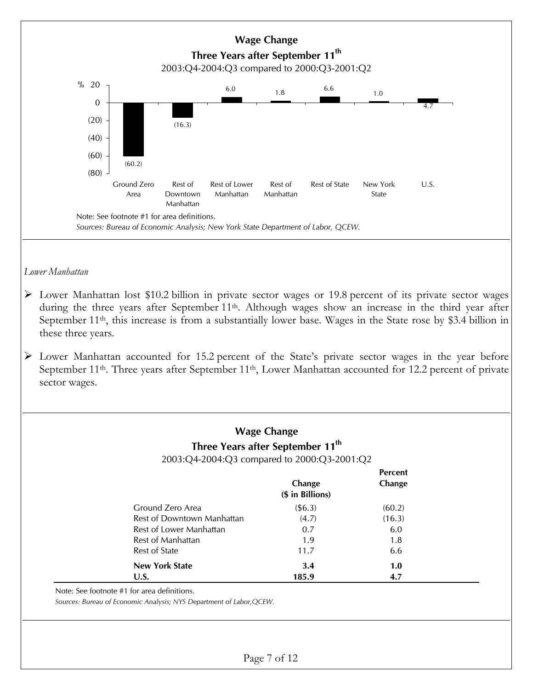

Note: See footnote #1 for area definitions.

*Sources: Bureau of Economic Analysis; NYS Department of Labor,QCEW.*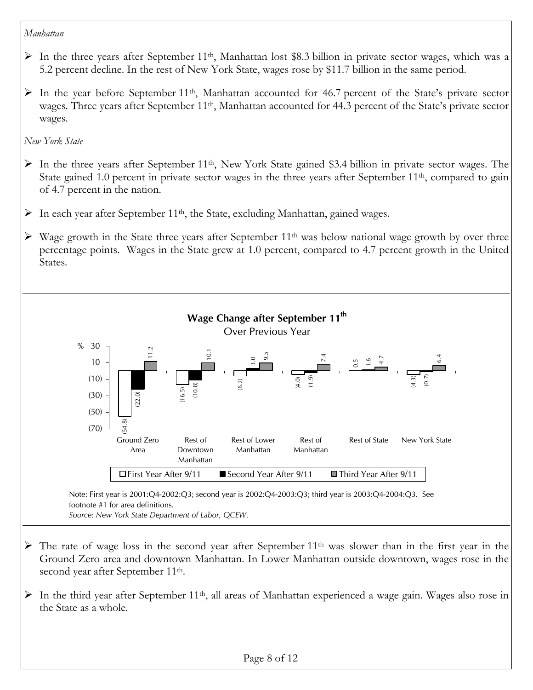#### *Manhattan*

- $\triangleright$  In the three years after September 11<sup>th</sup>, Manhattan lost \$8.3 billion in private sector wages, which was a 5.2 percent decline. In the rest of New York State, wages rose by \$11.7 billion in the same period.
- $\triangleright$  In the year before September 11<sup>th</sup>, Manhattan accounted for 46.7 percent of the State's private sector wages. Three years after September 11th, Manhattan accounted for 44.3 percent of the State's private sector wages.

*New York State* 

- $\triangleright$  In the three years after September 11<sup>th</sup>, New York State gained \$3.4 billion in private sector wages. The State gained 1.0 percent in private sector wages in the three years after September 11<sup>th</sup>, compared to gain of 4.7 percent in the nation.
- In each year after September  $11<sup>th</sup>$ , the State, excluding Manhattan, gained wages.
- $\triangleright$  Wage growth in the State three years after September 11<sup>th</sup> was below national wage growth by over three percentage points. Wages in the State grew at 1.0 percent, compared to 4.7 percent growth in the United States.



- $\triangleright$  The rate of wage loss in the second year after September 11<sup>th</sup> was slower than in the first year in the Ground Zero area and downtown Manhattan. In Lower Manhattan outside downtown, wages rose in the second year after September 11<sup>th</sup>.
- $\triangleright$  In the third year after September 11<sup>th</sup>, all areas of Manhattan experienced a wage gain. Wages also rose in the State as a whole.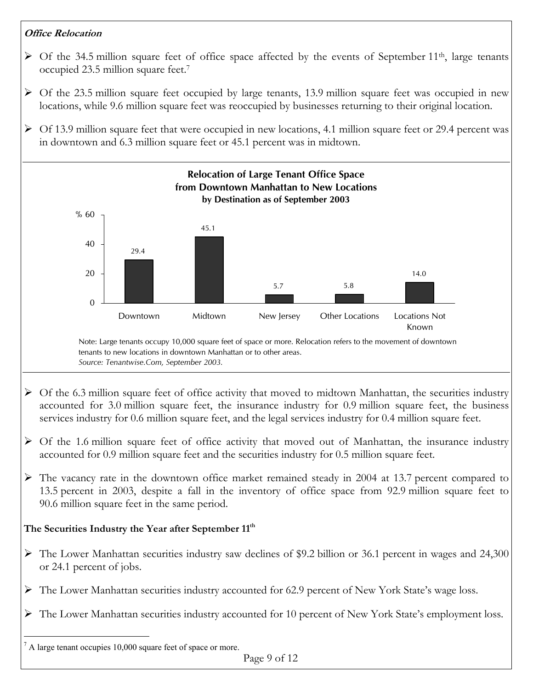# **Office Relocation**

- $\triangleright$  Of the 34.5 million square feet of office space affected by the events of September 11<sup>th</sup>, large tenants occupied 23.5 million square feet.7
- $\triangleright$  Of the 23.5 million square feet occupied by large tenants, 13.9 million square feet was occupied in new locations, while 9.6 million square feet was reoccupied by businesses returning to their original location.
- $\geq$  Of 13.9 million square feet that were occupied in new locations, 4.1 million square feet or 29.4 percent was in downtown and 6.3 million square feet or 45.1 percent was in midtown.



 $<sup>7</sup>$  A large tenant occupies 10,000 square feet of space or more.</sup>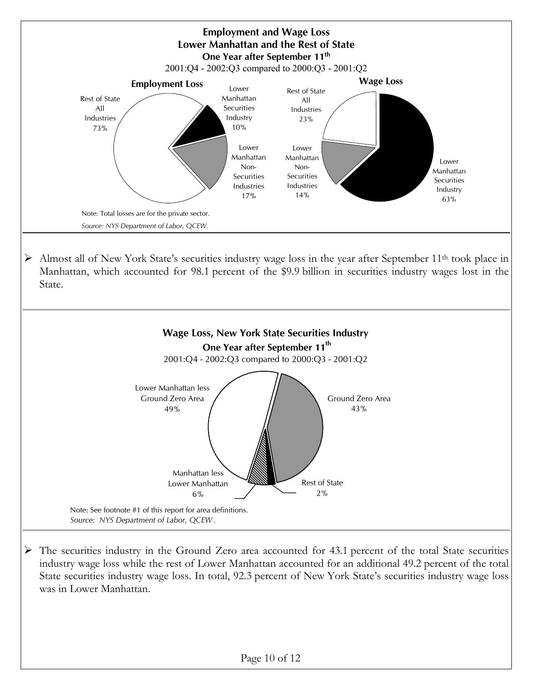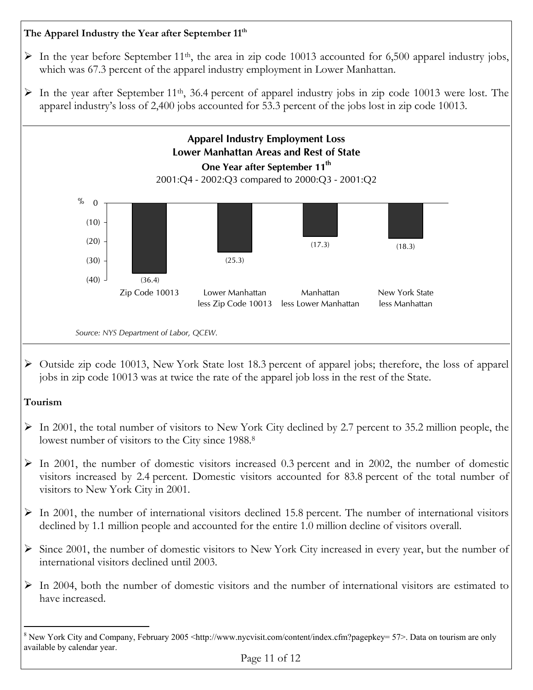# The Apparel Industry the Year after September 11<sup>th</sup>

- $\triangleright$  In the year before September 11<sup>th</sup>, the area in zip code 10013 accounted for 6,500 apparel industry jobs, which was 67.3 percent of the apparel industry employment in Lower Manhattan.
- $\triangleright$  In the year after September 11<sup>th</sup>, 36.4 percent of apparel industry jobs in zip code 10013 were lost. The apparel industry's loss of 2,400 jobs accounted for 53.3 percent of the jobs lost in zip code 10013.



¾ Outside zip code 10013, New York State lost 18.3 percent of apparel jobs; therefore, the loss of apparel jobs in zip code 10013 was at twice the rate of the apparel job loss in the rest of the State.

# **Tourism**

 $\overline{a}$ 

- $\triangleright$  In 2001, the total number of visitors to New York City declined by 2.7 percent to 35.2 million people, the lowest number of visitors to the City since 1988.<sup>8</sup>
- $\geq$  In 2001, the number of domestic visitors increased 0.3 percent and in 2002, the number of domestic visitors increased by 2.4 percent. Domestic visitors accounted for 83.8 percent of the total number of visitors to New York City in 2001.
- $\triangleright$  In 2001, the number of international visitors declined 15.8 percent. The number of international visitors declined by 1.1 million people and accounted for the entire 1.0 million decline of visitors overall.
- ¾ Since 2001, the number of domestic visitors to New York City increased in every year, but the number of international visitors declined until 2003.
- $\triangleright$  In 2004, both the number of domestic visitors and the number of international visitors are estimated to have increased.

<sup>&</sup>lt;sup>8</sup> New York City and Company, February 2005 <http://www.nycvisit.com/content/index.cfm?pagepkey= 57>. Data on tourism are only available by calendar year.